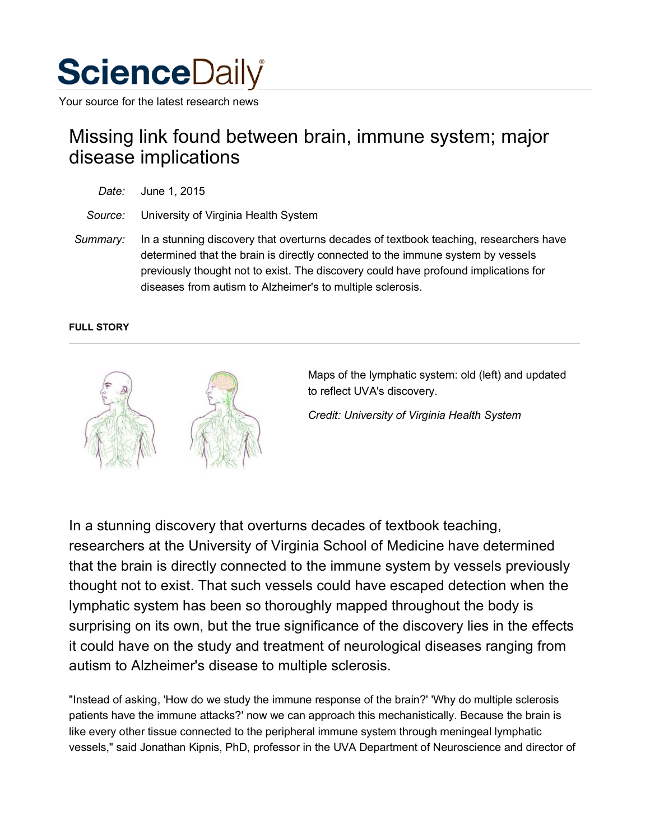

Your source for the latest research news

# Missing link found between brain, immune system; major disease implications

| Date: | June 1, 2015 |  |
|-------|--------------|--|
|       |              |  |

*Source:* University of Virginia Health System

*Summary:* In a stunning discovery that overturns decades of textbook teaching, researchers have determined that the brain is directly connected to the immune system by vessels previously thought not to exist. The discovery could have profound implications for diseases from autism to Alzheimer's to multiple sclerosis.

# **FULL STORY**



Maps of the lymphatic system: old (left) and updated to reflect UVA's discovery.

*Credit: University of Virginia Health System*

In a stunning discovery that overturns decades of textbook teaching, researchers at the University of Virginia School of Medicine have determined that the brain is directly connected to the immune system by vessels previously thought not to exist. That such vessels could have escaped detection when the lymphatic system has been so thoroughly mapped throughout the body is surprising on its own, but the true significance of the discovery lies in the effects it could have on the study and treatment of neurological diseases ranging from autism to Alzheimer's disease to multiple sclerosis.

"Instead of asking, 'How do we study the immune response of the brain?' 'Why do multiple sclerosis patients have the immune attacks?' now we can approach this mechanistically. Because the brain is like every other tissue connected to the peripheral immune system through meningeal lymphatic vessels," said Jonathan Kipnis, PhD, professor in the UVA Department of Neuroscience and director of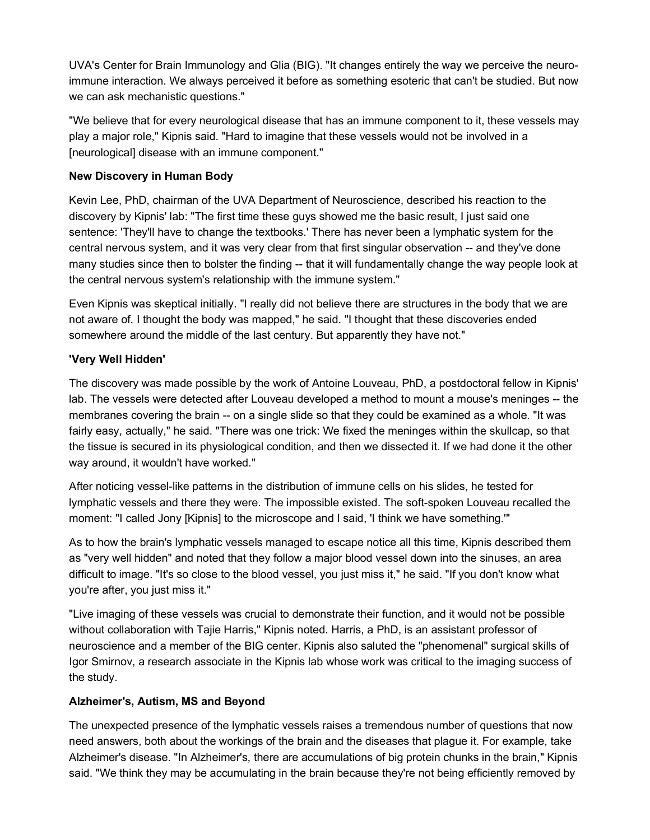UVA's Center for Brain Immunology and Glia (BIG). "It changes entirely the way we perceive the neuroimmune interaction. We always perceived it before as something esoteric that can't be studied. But now we can ask mechanistic questions."

"We believe that for every neurological disease that has an immune component to it, these vessels may play a major role," Kipnis said. "Hard to imagine that these vessels would not be involved in a [neurological] disease with an immune component."

# **New Discovery in Human Body**

Kevin Lee, PhD, chairman of the UVA Department of Neuroscience, described his reaction to the discovery by Kipnis' lab: "The first time these guys showed me the basic result, I just said one sentence: 'They'll have to change the textbooks.' There has never been a lymphatic system for the central nervous system, and it was very clear from that first singular observation -- and they've done many studies since then to bolster the finding -- that it will fundamentally change the way people look at the central nervous system's relationship with the immune system."

Even Kipnis was skeptical initially. "I really did not believe there are structures in the body that we are not aware of. I thought the body was mapped," he said. "I thought that these discoveries ended somewhere around the middle of the last century. But apparently they have not."

# **'Very Well Hidden'**

The discovery was made possible by the work of Antoine Louveau, PhD, a postdoctoral fellow in Kipnis' lab. The vessels were detected after Louveau developed a method to mount a mouse's meninges -- the membranes covering the brain -- on a single slide so that they could be examined as a whole. "It was fairly easy, actually," he said. "There was one trick: We fixed the meninges within the skullcap, so that the tissue is secured in its physiological condition, and then we dissected it. If we had done it the other way around, it wouldn't have worked."

After noticing vessel-like patterns in the distribution of immune cells on his slides, he tested for lymphatic vessels and there they were. The impossible existed. The soft-spoken Louveau recalled the moment: "I called Jony [Kipnis] to the microscope and I said, 'I think we have something.'"

As to how the brain's lymphatic vessels managed to escape notice all this time, Kipnis described them as "very well hidden" and noted that they follow a major blood vessel down into the sinuses, an area difficult to image. "It's so close to the blood vessel, you just miss it," he said. "If you don't know what you're after, you just miss it."

"Live imaging of these vessels was crucial to demonstrate their function, and it would not be possible without collaboration with Tajie Harris," Kipnis noted. Harris, a PhD, is an assistant professor of neuroscience and a member of the BIG center. Kipnis also saluted the "phenomenal" surgical skills of Igor Smirnov, a research associate in the Kipnis lab whose work was critical to the imaging success of the study.

#### **Alzheimer's, Autism, MS and Beyond**

The unexpected presence of the lymphatic vessels raises a tremendous number of questions that now need answers, both about the workings of the brain and the diseases that plague it. For example, take Alzheimer's disease. "In Alzheimer's, there are accumulations of big protein chunks in the brain," Kipnis said. "We think they may be accumulating in the brain because they're not being efficiently removed by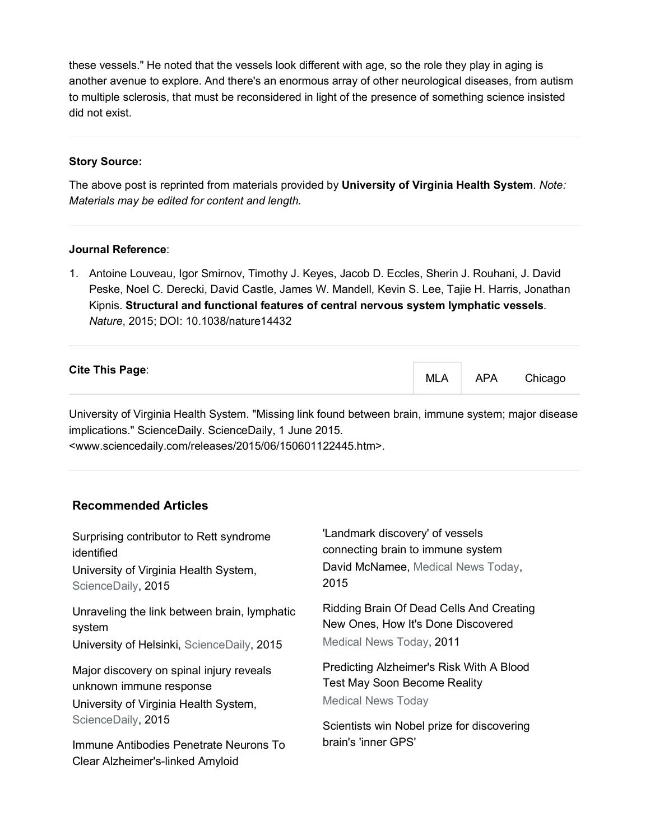these vessels." He noted that the vessels look different with age, so the role they play in aging is another avenue to explore. And there's an enormous array of other neurological diseases, from autism to multiple sclerosis, that must be reconsidered in light of the presence of something science insisted did not exist.

# **Story Source:**

The above post is reprinted from materials provided by **University of Virginia Health System**. *Note: Materials may be edited for content and length.*

#### **Journal Reference**:

1. Antoine Louveau, Igor Smirnov, Timothy J. Keyes, Jacob D. Eccles, Sherin J. Rouhani, J. David Peske, Noel C. Derecki, David Castle, James W. Mandell, Kevin S. Lee, Tajie H. Harris, Jonathan Kipnis. **Structural and functional features of central nervous system lymphatic vessels**. *Nature*, 2015; DOI: 10.1038/nature14432

| <b>Cite This Page:</b> | <b>MLA</b> | <b>APA</b> | Chicago |
|------------------------|------------|------------|---------|
|------------------------|------------|------------|---------|

University of Virginia Health System. "Missing link found between brain, immune system; major disease implications." ScienceDaily. ScienceDaily, 1 June 2015.

<www.sciencedaily.com/releases/2015/06/150601122445.htm>.

# **Recommended Articles**

| Surprising contributor to Rett syndrome                                                                                            | 'Landmark discovery' of vessels                                                                              |  |
|------------------------------------------------------------------------------------------------------------------------------------|--------------------------------------------------------------------------------------------------------------|--|
| identified                                                                                                                         | connecting brain to immune system                                                                            |  |
| University of Virginia Health System,                                                                                              | David McNamee, Medical News Today,                                                                           |  |
| ScienceDaily, 2015                                                                                                                 | 2015                                                                                                         |  |
| Unraveling the link between brain, lymphatic                                                                                       | Ridding Brain Of Dead Cells And Creating                                                                     |  |
| system                                                                                                                             | New Ones, How It's Done Discovered                                                                           |  |
| University of Helsinki, ScienceDaily, 2015                                                                                         | Medical News Today, 2011                                                                                     |  |
| Major discovery on spinal injury reveals<br>unknown immune response<br>University of Virginia Health System,<br>ScienceDaily, 2015 | Predicting Alzheimer's Risk With A Blood<br><b>Test May Soon Become Reality</b><br><b>Medical News Today</b> |  |
| Immune Antibodies Penetrate Neurons To                                                                                             | Scientists win Nobel prize for discovering                                                                   |  |
| Clear Alzheimer's-linked Amyloid                                                                                                   | brain's 'inner GPS'                                                                                          |  |